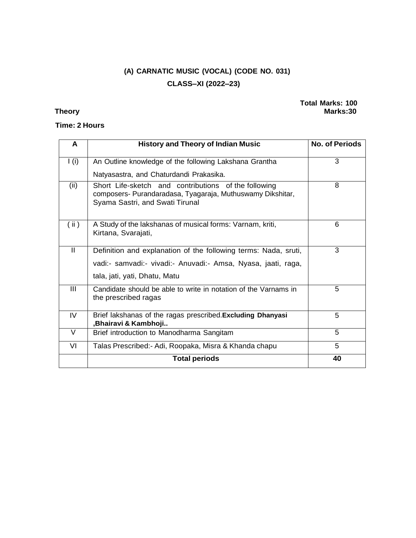# **(A) CARNATIC MUSIC (VOCAL) (CODE NO. 031) CLASS–XI (2022–23)**

## **Time: 2 Hours**

### **Total Marks: 100 Theory Marks:30**

| A            | <b>History and Theory of Indian Music</b>                                                                                                                         | <b>No. of Periods</b> |
|--------------|-------------------------------------------------------------------------------------------------------------------------------------------------------------------|-----------------------|
| I(i)         | An Outline knowledge of the following Lakshana Grantha                                                                                                            | 3                     |
|              | Natyasastra, and Chaturdandi Prakasika.                                                                                                                           |                       |
| (ii)         | Short Life-sketch and contributions of the following<br>composers- Purandaradasa, Tyagaraja, Muthuswamy Dikshitar,<br>Syama Sastri, and Swati Tirunal             | 8                     |
| (ii)         | A Study of the lakshanas of musical forms: Varnam, kriti,<br>Kirtana, Svarajati,                                                                                  | 6                     |
| $\mathbf{I}$ | Definition and explanation of the following terms: Nada, sruti,<br>vadi:- samvadi:- vivadi:- Anuvadi:- Amsa, Nyasa, jaati, raga,<br>tala, jati, yati, Dhatu, Matu | 3                     |
| Ш            | Candidate should be able to write in notation of the Varnams in<br>the prescribed ragas                                                                           | 5                     |
| IV           | Brief lakshanas of the ragas prescribed. Excluding Dhanyasi<br>,Bhairavi & Kambhoji                                                                               | 5                     |
| $\vee$       | Brief introduction to Manodharma Sangitam                                                                                                                         | 5                     |
| VI           | Talas Prescribed:- Adi, Roopaka, Misra & Khanda chapu                                                                                                             | 5                     |
|              | <b>Total periods</b>                                                                                                                                              | 40                    |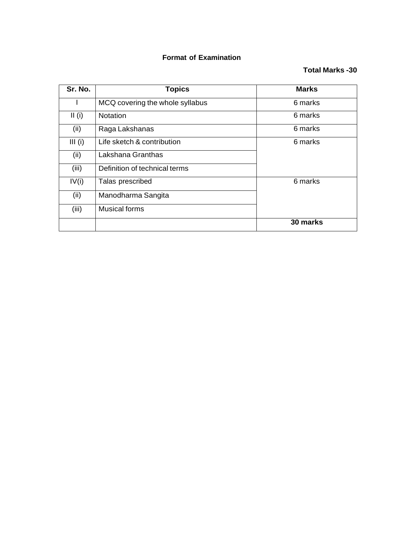## **Format of Examination**

## **Total Marks -30**

| Sr. No.   | <b>Topics</b>                   | <b>Marks</b> |
|-----------|---------------------------------|--------------|
|           | MCQ covering the whole syllabus | 6 marks      |
| II(i)     | <b>Notation</b>                 | 6 marks      |
| (ii)      | Raga Lakshanas                  | 6 marks      |
| $III$ (i) | Life sketch & contribution      | 6 marks      |
| (ii)      | Lakshana Granthas               |              |
| (iii)     | Definition of technical terms   |              |
| IV(i)     | Talas prescribed                | 6 marks      |
| (ii)      | Manodharma Sangita              |              |
| (iii)     | <b>Musical forms</b>            |              |
|           |                                 | 30 marks     |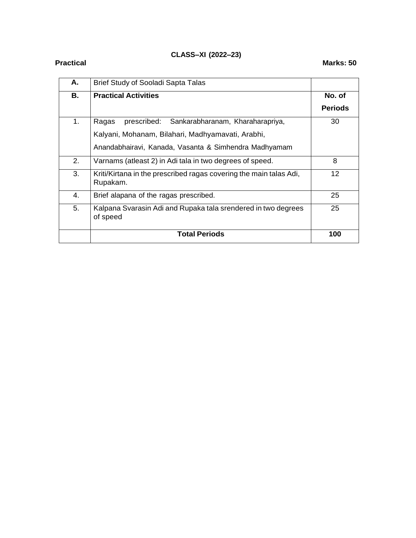## **CLASS–XI (2022–23)**

| А. | Brief Study of Sooladi Sapta Talas                                             |                 |
|----|--------------------------------------------------------------------------------|-----------------|
| В. | <b>Practical Activities</b>                                                    | No. of          |
|    |                                                                                | <b>Periods</b>  |
| 1. | Sankarabharanam, Kharaharapriya,<br>prescribed:<br>Ragas                       | 30              |
|    | Kalyani, Mohanam, Bilahari, Madhyamavati, Arabhi,                              |                 |
|    | Anandabhairavi, Kanada, Vasanta & Simhendra Madhyamam                          |                 |
| 2. | Varnams (atleast 2) in Adi tala in two degrees of speed.                       | 8               |
| 3. | Kriti/Kirtana in the prescribed ragas covering the main talas Adi,<br>Rupakam. | 12 <sup>2</sup> |
| 4. | Brief alapana of the ragas prescribed.                                         | 25              |
| 5. | Kalpana Svarasin Adi and Rupaka tala srendered in two degrees<br>of speed      | 25              |
|    | <b>Total Periods</b>                                                           | 100             |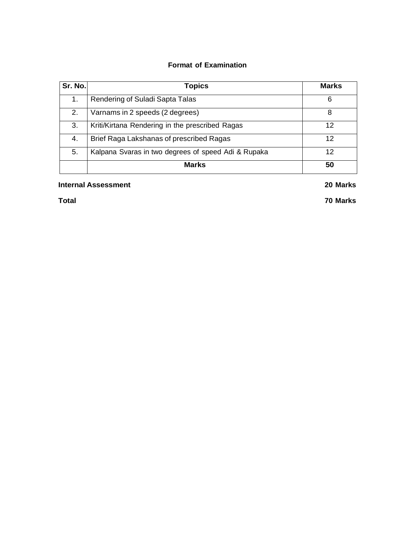## **Format of Examination**

| Sr. No. | <b>Topics</b>                                       | <b>Marks</b> |
|---------|-----------------------------------------------------|--------------|
| 1.      | Rendering of Suladi Sapta Talas                     | 6            |
| 2.      | Varnams in 2 speeds (2 degrees)                     | 8            |
| 3.      | Kriti/Kirtana Rendering in the prescribed Ragas     | 12           |
| 4.      | Brief Raga Lakshanas of prescribed Ragas            | 12           |
| 5.      | Kalpana Svaras in two degrees of speed Adi & Rupaka | 12           |
|         | <b>Marks</b>                                        | 50           |

### **Internal Assessment 20 Marks**

**Total 70 Marks**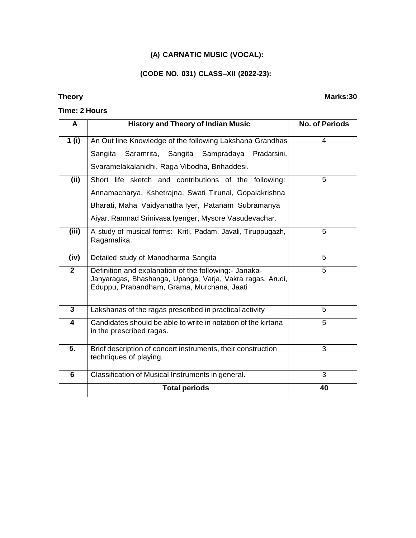### **(A) CARNATIC MUSIC (VOCAL):**

#### **(CODE NO. 031) CLASS–XII (2022-23):**

#### **Time: 2 Hours**

## **A History and Theory of Indian Music No. of Periods 1 (i)** An Out line Knowledge of the following Lakshana Grandhas Sangita Saramrita, Sangita Sampradaya Pradarsini, Svaramelakalanidhi, Raga Vibodha, Brihaddesi. 4 **(ii)** Short life sketch and contributions of the following: Annamacharya, Kshetrajna, Swati Tirunal, Gopalakrishna Bharati, Maha Vaidyanatha Iyer, Patanam Subramanya Aiyar. Ramnad Srinivasa Iyenger, Mysore Vasudevachar. 5 **(iii)** A study of musical forms:- Kriti, Padam, Javali, Tiruppugazh, Ragamalika. 5 **(iv)** Detailed study of Manodharma Sangita **5 2** Definition and explanation of the following:- Janaka-Janyaragas, Bhashanga, Upanga, Varja, Vakra ragas, Arudi, Eduppu, Prabandham, Grama, Murchana, Jaati 5 **3** Lakshanas of the ragas prescribed in practical activity 15 **4** Candidates should be able to write in notation of the kirtana in the prescribed ragas. 5 **5.** Brief description of concert instruments, their construction techniques of playing. 3 **6** Classification of Musical Instruments in general. 3 **Total periods 40**

#### **Theory Marks:30**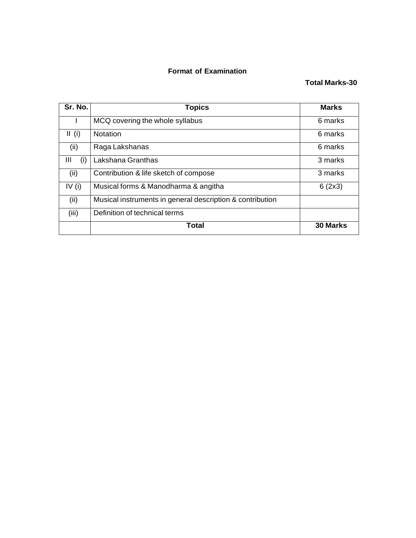### **Format of Examination**

## **Total Marks-30**

| Sr. No.  | <b>Topics</b>                                             | <b>Marks</b>    |
|----------|-----------------------------------------------------------|-----------------|
|          | MCQ covering the whole syllabus                           | 6 marks         |
| II (i)   | <b>Notation</b>                                           | 6 marks         |
| (ii)     | Raga Lakshanas                                            | 6 marks         |
| Ш<br>(i) | Lakshana Granthas                                         | 3 marks         |
| (ii)     | Contribution & life sketch of compose                     | 3 marks         |
| IV $(i)$ | Musical forms & Manodharma & angitha                      | 6(2x3)          |
| (ii)     | Musical instruments in general description & contribution |                 |
| (iii)    | Definition of technical terms                             |                 |
|          | <b>Total</b>                                              | <b>30 Marks</b> |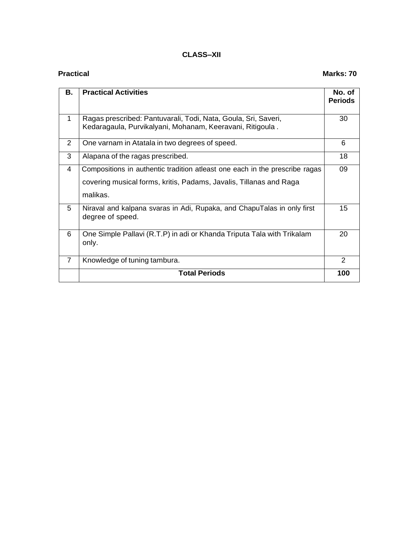### **CLASS–XII**

### **Practical Marks:** 70

| В.             | <b>Practical Activities</b>                                                                                                                                   | No. of<br><b>Periods</b> |
|----------------|---------------------------------------------------------------------------------------------------------------------------------------------------------------|--------------------------|
| $\mathbf 1$    | Ragas prescribed: Pantuvarali, Todi, Nata, Goula, Sri, Saveri,<br>Kedaragaula, Purvikalyani, Mohanam, Keeravani, Ritigoula.                                   | 30                       |
| 2              | One varnam in Atatala in two degrees of speed.                                                                                                                | 6                        |
| 3              | Alapana of the ragas prescribed.                                                                                                                              | 18                       |
| 4              | Compositions in authentic tradition atleast one each in the prescribe ragas<br>covering musical forms, kritis, Padams, Javalis, Tillanas and Raga<br>malikas. | 09                       |
| 5              | Niraval and kalpana svaras in Adi, Rupaka, and ChapuTalas in only first<br>degree of speed.                                                                   | 15                       |
| 6              | One Simple Pallavi (R.T.P) in adi or Khanda Triputa Tala with Trikalam<br>only.                                                                               | 20                       |
| $\overline{7}$ | Knowledge of tuning tambura.                                                                                                                                  | $\mathcal{P}$            |
|                | <b>Total Periods</b>                                                                                                                                          | 100                      |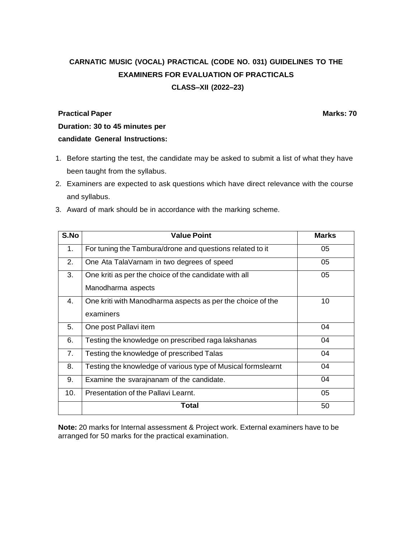# **CARNATIC MUSIC (VOCAL) PRACTICAL (CODE NO. 031) GUIDELINES TO THE EXAMINERS FOR EVALUATION OF PRACTICALS CLASS–XII (2022–23)**

#### **Practical Paper Marks: 70**

**Duration: 30 to 45 minutes per candidate General Instructions:**

- 1. Before starting the test, the candidate may be asked to submit a list of what they have been taught from the syllabus.
- 2. Examiners are expected to ask questions which have direct relevance with the course and syllabus.
- 3. Award of mark should be in accordance with the marking scheme.

| S.No | <b>Value Point</b>                                           | <b>Marks</b> |
|------|--------------------------------------------------------------|--------------|
| 1.   | For tuning the Tambura/drone and questions related to it     | 05           |
| 2.   | One Ata TalaVarnam in two degrees of speed                   | 05           |
| 3.   | One kriti as per the choice of the candidate with all        | 05           |
|      | Manodharma aspects                                           |              |
| 4.   | One kriti with Manodharma aspects as per the choice of the   | 10           |
|      | examiners                                                    |              |
| 5.   | One post Pallavi item                                        | 04           |
| 6.   | Testing the knowledge on prescribed raga lakshanas           | 04           |
| 7.   | Testing the knowledge of prescribed Talas                    | 04           |
| 8.   | Testing the knowledge of various type of Musical formslearnt | 04           |
| 9.   | Examine the svarajnanam of the candidate.                    | 04           |
| 10.  | Presentation of the Pallavi Learnt.                          | 05           |
|      | Total                                                        | 50           |

**Note:** 20 marks for Internal assessment & Project work. External examiners have to be arranged for 50 marks for the practical examination.